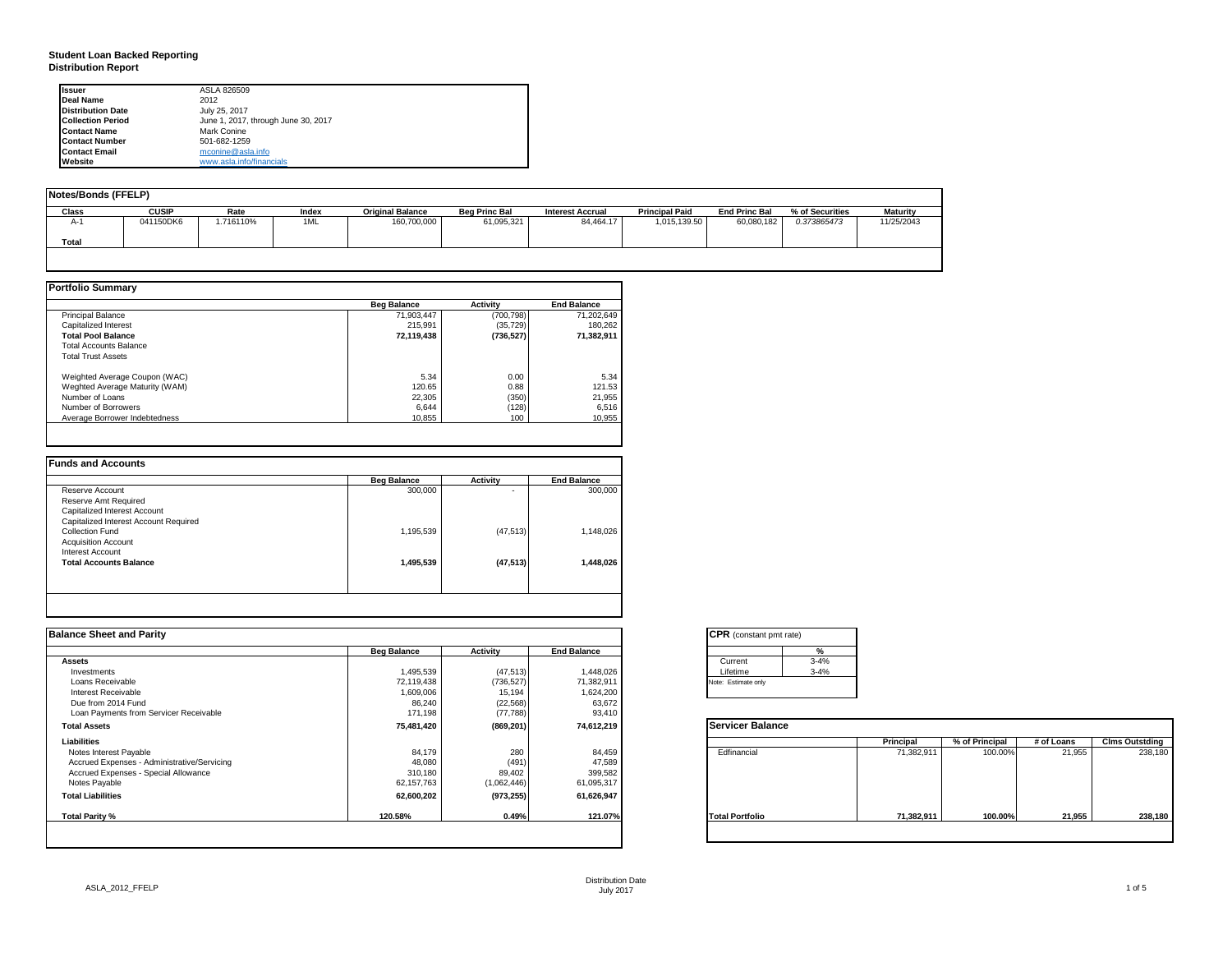### **Student Loan Backed Reporting Distribution Report**

| <b>Issuer</b>            | ASLA 826509                         |
|--------------------------|-------------------------------------|
| Deal Name                | 2012                                |
| <b>Distribution Date</b> | July 25, 2017                       |
| <b>Collection Period</b> | June 1, 2017, through June 30, 2017 |
| <b>Contact Name</b>      | Mark Conine                         |
| <b>Contact Number</b>    | 501-682-1259                        |
| <b>Contact Email</b>     | mconine@asla.info                   |
| Website                  | www.asla.info/financials            |

| Notes/Bonds (FFELP) |              |          |       |                         |                      |                         |                       |                      |                 |                 |
|---------------------|--------------|----------|-------|-------------------------|----------------------|-------------------------|-----------------------|----------------------|-----------------|-----------------|
| Class               | <b>CUSIP</b> | Rate     | Index | <b>Original Balance</b> | <b>Beg Princ Bal</b> | <b>Interest Accrual</b> | <b>Principal Paid</b> | <b>End Princ Bal</b> | % of Securities | <b>Maturity</b> |
| А-                  | 041150DK6    | .716110% | 1ML   | 160,700,000             | 61,095,321           | 84,464.17               | 1,015,139.50          | 60,080,182           | 0.373865473     | 11/25/2043      |
| Total               |              |          |       |                         |                      |                         |                       |                      |                 |                 |
|                     |              |          |       |                         |                      |                         |                       |                      |                 |                 |

|                                | <b>Beg Balance</b> | <b>Activity</b> | <b>End Balance</b> |
|--------------------------------|--------------------|-----------------|--------------------|
| <b>Principal Balance</b>       | 71.903.447         | (700, 798)      | 71,202,649         |
| Capitalized Interest           | 215.991            | (35, 729)       | 180.262            |
| <b>Total Pool Balance</b>      | 72,119,438         | (736, 527)      | 71,382,911         |
| <b>Total Accounts Balance</b>  |                    |                 |                    |
| <b>Total Trust Assets</b>      |                    |                 |                    |
| Weighted Average Coupon (WAC)  | 5.34               | 0.00            | 5.34               |
| Weghted Average Maturity (WAM) | 120.65             | 0.88            | 121.53             |
| Number of Loans                | 22.305             | (350)           | 21,955             |
| Number of Borrowers            | 6,644              | (128)           | 6,516              |
| Average Borrower Indebtedness  | 10.855             | 100             | 10,955             |

|                                       | <b>Beg Balance</b> | <b>Activity</b> | <b>End Balance</b> |
|---------------------------------------|--------------------|-----------------|--------------------|
| Reserve Account                       | 300,000            | ۰               | 300,000            |
| Reserve Amt Required                  |                    |                 |                    |
| Capitalized Interest Account          |                    |                 |                    |
| Capitalized Interest Account Required |                    |                 |                    |
| Collection Fund                       | 1,195,539          | (47, 513)       | 1,148,026          |
| <b>Acquisition Account</b>            |                    |                 |                    |
| Interest Account                      |                    |                 |                    |
| <b>Total Accounts Balance</b>         | 1,495,539          | (47, 513)       | 1,448,026          |
|                                       |                    |                 |                    |

| <b>Balance Sheet and Parity</b>             |                    |             |                    | <b>CPR</b> (constant pmt rate) |          |            |                |            |                       |
|---------------------------------------------|--------------------|-------------|--------------------|--------------------------------|----------|------------|----------------|------------|-----------------------|
|                                             | <b>Beg Balance</b> | Activity    | <b>End Balance</b> |                                |          |            |                |            |                       |
| <b>Assets</b>                               |                    |             |                    | Current                        | $3 - 4%$ |            |                |            |                       |
| Investments                                 | 1,495,539          | (47, 513)   | 1,448,026          | Lifetime                       | $3 - 4%$ |            |                |            |                       |
| Loans Receivable                            | 72,119,438         | (736, 527)  | 71,382,911         | Note: Estimate only            |          |            |                |            |                       |
| Interest Receivable                         | 1,609,006          | 15,194      | 1,624,200          |                                |          |            |                |            |                       |
| Due from 2014 Fund                          | 86,240             | (22, 568)   | 63,672             |                                |          |            |                |            |                       |
| Loan Payments from Servicer Receivable      | 171,198            | (77, 788)   | 93,410             |                                |          |            |                |            |                       |
| <b>Total Assets</b>                         | 75,481,420         | (869, 201)  | 74,612,219         | <b>Servicer Balance</b>        |          |            |                |            |                       |
| Liabilities                                 |                    |             |                    |                                |          | Principal  | % of Principal | # of Loans | <b>Clms Outstding</b> |
| Notes Interest Payable                      | 84,179             | 280         | 84,459             | Edfinancial                    |          | 71,382,911 | 100.00%        | 21,955     | 238,180               |
| Accrued Expenses - Administrative/Servicing | 48,080             | (491)       | 47,589             |                                |          |            |                |            |                       |
| Accrued Expenses - Special Allowance        | 310,180            | 89,402      | 399,582            |                                |          |            |                |            |                       |
| Notes Payable                               | 62,157,763         | (1,062,446) | 61,095,317         |                                |          |            |                |            |                       |
| <b>Total Liabilities</b>                    | 62,600,202         | (973, 255)  | 61,626,947         |                                |          |            |                |            |                       |
| Total Parity %                              | 120.58%            | 0.49%       | 121.07%            | <b>Total Portfolio</b>         |          | 71,382,911 | 100.00%        | 21,955     | 238,180               |
|                                             |                    |             |                    |                                |          |            |                |            |                       |

| <b>CPR</b> (constant pmt rate) |          |  |  |  |  |  |  |
|--------------------------------|----------|--|--|--|--|--|--|
|                                | ℀        |  |  |  |  |  |  |
| Current                        | $3 - 4%$ |  |  |  |  |  |  |
| Lifetime                       | $3 - 4%$ |  |  |  |  |  |  |
| Note: Estimate only            |          |  |  |  |  |  |  |
|                                |          |  |  |  |  |  |  |

|                        | Principal  | % of Principal | # of Loans | <b>Clms Outstding</b> |
|------------------------|------------|----------------|------------|-----------------------|
| Edfinancial            | 71,382,911 | 100.00%        | 21,955     | 238,180               |
| <b>Total Portfolio</b> | 71,382,911 | 100.00%        | 21,955     | 238,180               |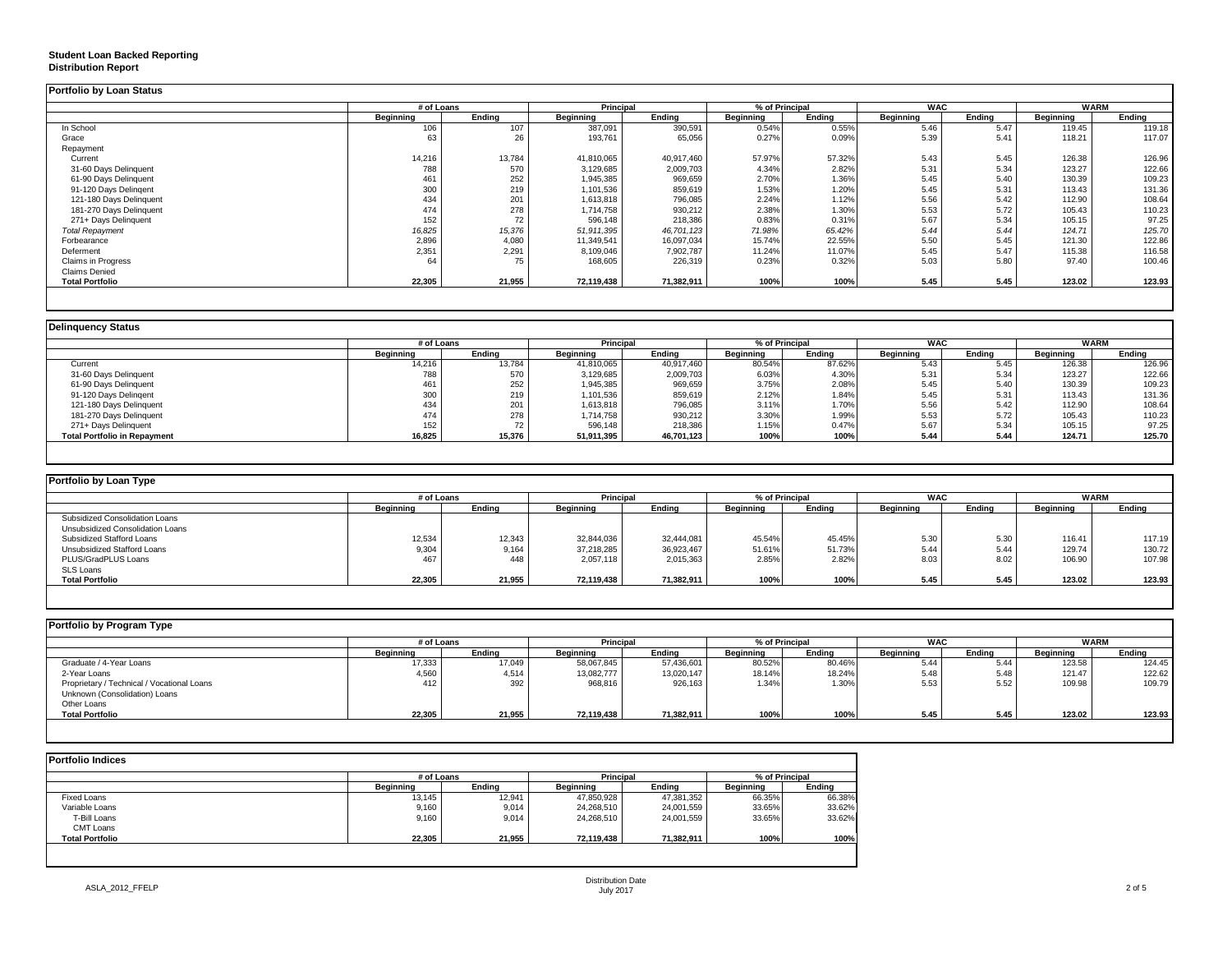### **Student Loan Backed Reporting**

#### **Distribution Report**

| <b>Portfolio by Loan Status</b> |                  |        |                  |            |                  |        |            |        |             |        |
|---------------------------------|------------------|--------|------------------|------------|------------------|--------|------------|--------|-------------|--------|
|                                 | # of Loans       |        | <b>Principal</b> |            | % of Principal   |        | <b>WAC</b> |        | <b>WARM</b> |        |
|                                 | <b>Beginning</b> | Ending | Beginning        | Ending     | <b>Beginning</b> | Ending | Beginning  | Ending | Beginning   | Ending |
| In School                       | 106              | 107    | 387,091          | 390,591    | 0.54%            | 0.55%  | 5.46       | 5.47   | 119.45      | 119.18 |
| Grace                           | 63               | 26     | 193,761          | 65,056     | 0.27%            | 0.09%  | 5.39       | 5.41   | 118.21      | 117.07 |
| Repayment                       |                  |        |                  |            |                  |        |            |        |             |        |
| Current                         | 14,216           | 13,784 | 41,810,065       | 40,917,460 | 57.97%           | 57.32% | 5.43       | 5.45   | 126.38      | 126.96 |
| 31-60 Days Delinquent           | 788              | 570    | 3,129,685        | 2,009,703  | 4.34%            | 2.82%  | 5.31       | 5.34   | 123.27      | 122.66 |
| 61-90 Days Delinquent           | 461              | 252    | 1,945,385        | 969,659    | 2.70%            | 1.36%  | 5.45       | 5.40   | 130.39      | 109.23 |
| 91-120 Days Delingent           | 300              | 219    | 1,101,536        | 859,619    | 1.53%            | 1.20%  | 5.45       | 5.31   | 113.43      | 131.36 |
| 121-180 Days Delinquent         | 434              | 201    | 1,613,818        | 796,085    | 2.24%            | 1.12%  | 5.56       | 5.42   | 112.90      | 108.64 |
| 181-270 Days Delinquent         | 474              | 278    | 1.714.758        | 930,212    | 2.38%            | 1.30%  | 5.53       | 5.72   | 105.43      | 110.23 |
| 271+ Days Delinquent            | 152              | 72     | 596,148          | 218,386    | 0.83%            | 0.31%  | 5.67       | 5.34   | 105.15      | 97.25  |
| <b>Total Repayment</b>          | 16,825           | 15,376 | 51,911,395       | 46,701,123 | 71.98%           | 65.42% | 5.44       | 5.44   | 124.71      | 125.70 |
| Forbearance                     | 2,896            | 4,080  | 11,349,541       | 16,097,034 | 15.74%           | 22.55% | 5.50       | 5.45   | 121.30      | 122.86 |
| Deferment                       | 2,351            | 2,291  | 8,109,046        | 7,902,787  | 11.24%           | 11.07% | 5.45       | 5.47   | 115.38      | 116.58 |
| Claims in Progress              | 64               | 75     | 168,605          | 226,319    | 0.23%            | 0.32%  | 5.03       | 5.80   | 97.40       | 100.46 |
| <b>Claims Denied</b>            |                  |        |                  |            |                  |        |            |        |             |        |
| <b>Total Portfolio</b>          | 22,305           | 21,955 | 72,119,438       | 71,382,911 | 100%             | 100%   | 5.45       | 5.45   | 123.02      | 123.93 |
|                                 |                  |        |                  |            |                  |        |            |        |             |        |

|                                     |           | # of Loans |            | <b>Principal</b> |                  | % of Principal |                  | <b>WAC</b> |                  | <b>WARM</b> |  |
|-------------------------------------|-----------|------------|------------|------------------|------------------|----------------|------------------|------------|------------------|-------------|--|
|                                     | Beginning | Ending     | Beginning  | Ending           | <b>Beginning</b> | Ending         | <b>Beginning</b> | Endina     | <b>Beginning</b> | Ending      |  |
| Current                             | 14,216    | 13.784     | 41,810,065 | 40.917.460       | 80.54%           | 87.62%         | 5.43             | 5.45       | 126.38           | 126.96      |  |
| 31-60 Days Delinquent               | 788       | 570        | 3,129,685  | 2,009,703        | 6.03%            | 4.30%          | 5.31             | 5.34       | 123.27           | 122.66      |  |
| 61-90 Days Delinquent               | 461       | 252        | 1,945,385  | 969,659          | 3.75%            | 2.08%          | 5.45             | 5.40       | 130.39           | 109.23      |  |
| 91-120 Days Delingent               | 300       | 219        | 1,101,536  | 859,619          | 2.12%            | 1.84%          | 5.45             | 5.31       | 113.43           | 131.36      |  |
| 121-180 Days Delinquent             | 434       | 201        | 1,613,818  | 796,085          | 3.11%            | 1.70%          | 5.56             | 5.42       | 112.90           | 108.64      |  |
| 181-270 Days Delinquent             | 474       | 278        | 1,714,758  | 930,212          | 3.30%            | 1.99%          | 5.53             | 5.72       | 105.43           | 110.23      |  |
| 271+ Days Delinquent                | 152       | 70         | 596,148    | 218,386          | 1.15%            | 0.47%          | 5.67             | 5.34       | 105.15           | 97.25       |  |
| <b>Total Portfolio in Repayment</b> | 16,825    | 15,376     | 51,911,395 | 46,701,123       | 100%             | 100%           | 5.44             | 5.44       | 124.71           | 125.70      |  |

| Portfolio by Loan Type           |                  |        |                  |            |                  |        |                    |        |             |        |
|----------------------------------|------------------|--------|------------------|------------|------------------|--------|--------------------|--------|-------------|--------|
|                                  | # of Loans       |        | Principal        |            | % of Principal   |        | <b>WAC</b>         |        | <b>WARM</b> |        |
|                                  | <b>Beginning</b> | Ending | <b>Beginning</b> | Ending     | <b>Beainning</b> | Ending | <b>Beginning</b>   | Ending | Beginning   | Ending |
| Subsidized Consolidation Loans   |                  |        |                  |            |                  |        |                    |        |             |        |
| Unsubsidized Consolidation Loans |                  |        |                  |            |                  |        |                    |        |             |        |
| Subsidized Stafford Loans        | 12,534           | 12,343 | 32.844.036       | 32.444.081 | 45.54%           | 45.45% | $E \Omega$<br>O.JU | 5.30   | 116.41      | 117.19 |
| Unsubsidized Stafford Loans      | 9,304            | 9,164  | 37,218,285       | 36,923,467 | 51.61%           | 51.73% | 5.44               | 5.44   | 129.74      | 130.72 |
| PLUS/GradPLUS Loans              |                  | 448    | 2,057,118        | 2,015,363  | 2.85%            | 2.82%  | 8.03               | 8.02   | 106.90      | 107.98 |
| SLS Loans                        |                  |        |                  |            |                  |        |                    |        |             |        |
| <b>Total Portfolio</b>           | 22,305           | 21,955 | 72,119,438       | 71,382,911 | 100%             | 100%   | 5.45               | 5.45   | 123.02      | 123.93 |

| Portfolio by Program Type                                                   |                  |            |                  |            |           |                |                  |            |           |             |
|-----------------------------------------------------------------------------|------------------|------------|------------------|------------|-----------|----------------|------------------|------------|-----------|-------------|
|                                                                             |                  | # of Loans |                  | Principal  |           | % of Principal |                  | <b>WAC</b> |           | <b>WARM</b> |
|                                                                             | <b>Beginning</b> | Endina     | <b>Beginning</b> | Ending     | Beginning | Endina         | <b>Beainning</b> | Endina     | Beginning | Ending      |
| Graduate / 4-Year Loans                                                     | 17,333           | 17,049     | 58,067,845       | 57,436,601 | 80.52%    | 80.46%         | 5.44             | 5.44       | 123.58    | 124.45      |
| 2-Year Loans                                                                | 4,560            | 4,514      | 13,082,777       | 13,020,147 | 18.14%    | 18.24%         | 5.48             | 5.48       | 121.47    | 122.62      |
| Proprietary / Technical / Vocational Loans<br>Unknown (Consolidation) Loans | 412              | 392        | 968,816          | 926,163    | 1.34%     | 1.30%          | 5.53             | 5.52       | 109.98    | 109.79      |
| Other Loans                                                                 |                  |            |                  |            |           |                |                  |            |           |             |
| <b>Total Portfolio</b>                                                      | 22,305           | 21,955     | 72,119,438       | 71,382,911 | 100%      | 100%           | 5.45             | 5.45       | 123.02    | 123.93      |

| <b>Portfolio Indices</b> |            |        |                  |            |                |        |  |
|--------------------------|------------|--------|------------------|------------|----------------|--------|--|
|                          | # of Loans |        | <b>Principal</b> |            | % of Principal |        |  |
|                          | Beainnina  | Endina | Beainnina        | Endina     | Beginning      | Ending |  |
| Fixed Loans              | 13,145     | 12,941 | 47,850,928       | 47,381,352 | 66.35%         | 66.38% |  |
| Variable Loans           | 9,160      | 9,014  | 24,268,510       | 24,001,559 | 33.65%         | 33.62% |  |
| T-Bill Loans             | 9,160      | 9,014  | 24,268,510       | 24,001,559 | 33.65%         | 33.62% |  |
| CMT Loans                |            |        |                  |            |                |        |  |
| <b>Total Portfolio</b>   | 22,305     | 21.955 | 72.119.438       | 71,382,911 | 100%           | 100%   |  |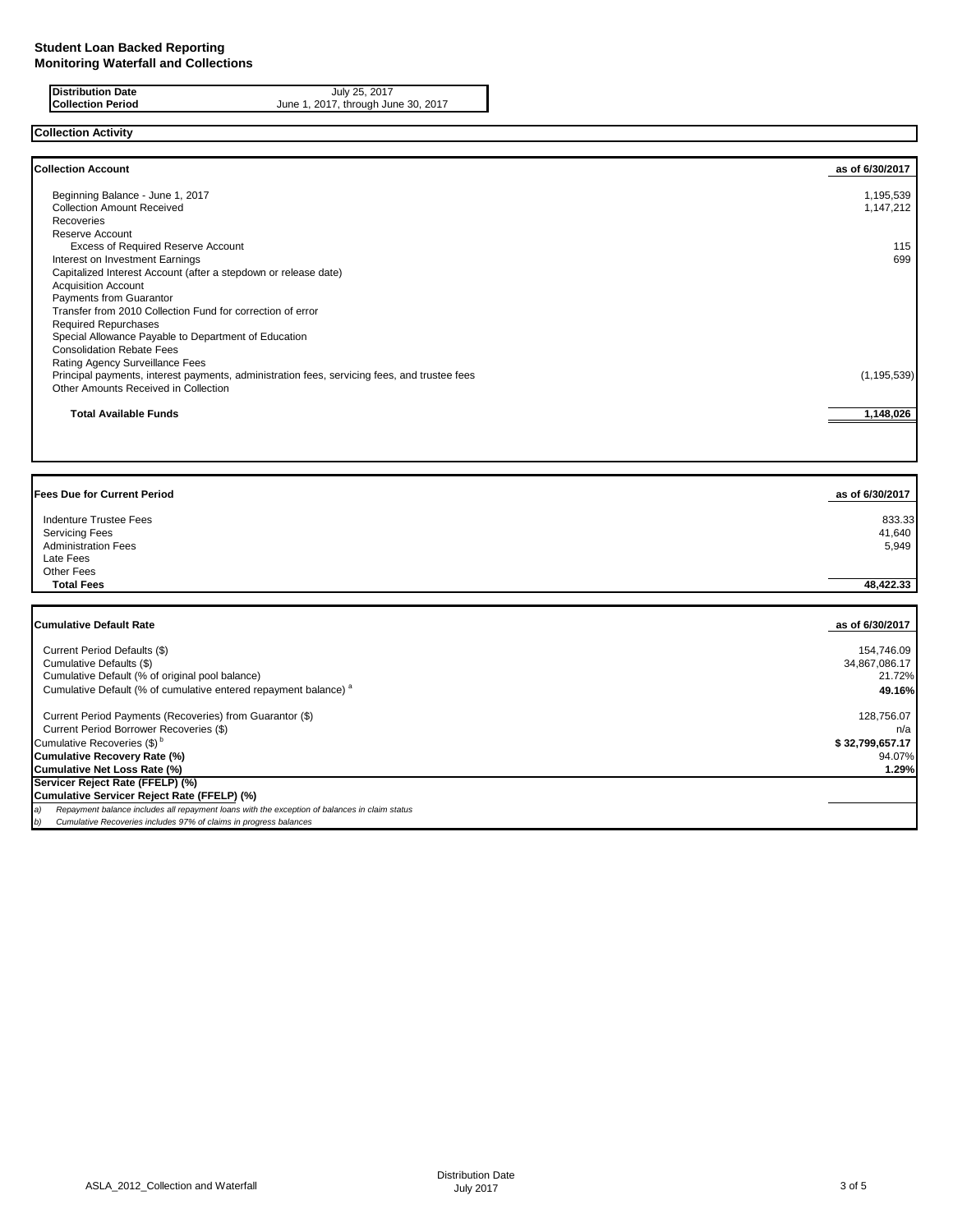**Distribution Date** July 25, 2017 **Collection Period** June 1, 2017, through June 30, 2017

**Collection Activity**

| <b>Collection Account</b>                                                                    | as of 6/30/2017 |
|----------------------------------------------------------------------------------------------|-----------------|
| Beginning Balance - June 1, 2017                                                             | 1,195,539       |
| <b>Collection Amount Received</b>                                                            | 1,147,212       |
| Recoveries                                                                                   |                 |
| Reserve Account                                                                              |                 |
| Excess of Required Reserve Account                                                           | 115             |
| Interest on Investment Earnings                                                              | 699             |
| Capitalized Interest Account (after a stepdown or release date)                              |                 |
| <b>Acquisition Account</b>                                                                   |                 |
| Payments from Guarantor                                                                      |                 |
| Transfer from 2010 Collection Fund for correction of error                                   |                 |
| <b>Required Repurchases</b>                                                                  |                 |
| Special Allowance Payable to Department of Education                                         |                 |
| <b>Consolidation Rebate Fees</b>                                                             |                 |
| Rating Agency Surveillance Fees                                                              |                 |
| Principal payments, interest payments, administration fees, servicing fees, and trustee fees | (1, 195, 539)   |
| Other Amounts Received in Collection                                                         |                 |
| <b>Total Available Funds</b>                                                                 | 1,148,026       |

| <b>Fees Due for Current Period</b> | as of 6/30/2017 |
|------------------------------------|-----------------|
| Indenture Trustee Fees             | 833.33          |
| <b>Servicing Fees</b>              | 41,640          |
| <b>Administration Fees</b>         | 5,949           |
| Late Fees                          |                 |
| Other Fees                         |                 |
| <b>Total Fees</b>                  | 48.422.33       |

| Cumulative Default Rate                                                                             | as of 6/30/2017 |
|-----------------------------------------------------------------------------------------------------|-----------------|
|                                                                                                     |                 |
| Current Period Defaults (\$)                                                                        | 154.746.09      |
| Cumulative Defaults (\$)                                                                            | 34,867,086.17   |
| Cumulative Default (% of original pool balance)                                                     | 21.72%          |
| Cumulative Default (% of cumulative entered repayment balance) <sup>a</sup>                         | 49.16%          |
| Current Period Payments (Recoveries) from Guarantor (\$)                                            | 128,756.07      |
| Current Period Borrower Recoveries (\$)                                                             | n/a             |
| Cumulative Recoveries (\$) <sup>b</sup>                                                             | \$32,799,657.17 |
| Cumulative Recovery Rate (%)                                                                        | 94.07%          |
| Cumulative Net Loss Rate (%)                                                                        | 1.29%           |
| Servicer Reject Rate (FFELP) (%)                                                                    |                 |
| Cumulative Servicer Reject Rate (FFELP) (%)                                                         |                 |
| Repayment balance includes all repayment loans with the exception of balances in claim status<br>э) |                 |
| Cumulative Recoveries includes 97% of claims in progress balances<br>b)                             |                 |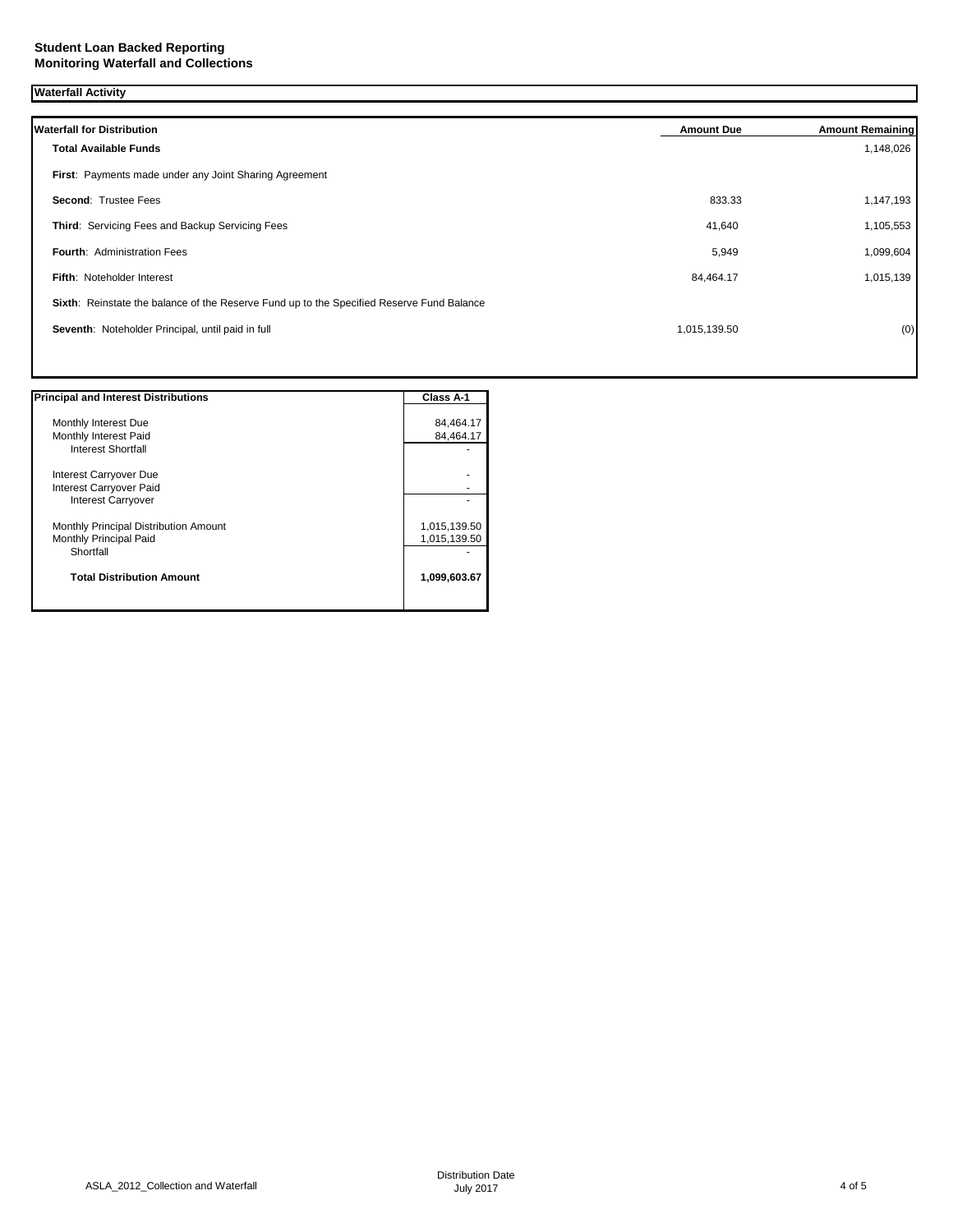| <b>Waterfall Activity</b>                                                                 |                   |                         |
|-------------------------------------------------------------------------------------------|-------------------|-------------------------|
| <b>Waterfall for Distribution</b>                                                         | <b>Amount Due</b> | <b>Amount Remaining</b> |
| <b>Total Available Funds</b>                                                              |                   | 1,148,026               |
| First: Payments made under any Joint Sharing Agreement                                    |                   |                         |
| Second: Trustee Fees                                                                      | 833.33            | 1,147,193               |
| Third: Servicing Fees and Backup Servicing Fees                                           | 41,640            | 1,105,553               |
| <b>Fourth: Administration Fees</b>                                                        | 5,949             | 1,099,604               |
| <b>Fifth: Noteholder Interest</b>                                                         | 84,464.17         | 1,015,139               |
| Sixth: Reinstate the balance of the Reserve Fund up to the Specified Reserve Fund Balance |                   |                         |
| Seventh: Noteholder Principal, until paid in full                                         | 1,015,139.50      | (0)                     |
|                                                                                           |                   |                         |

| <b>Principal and Interest Distributions</b> | Class A-1    |
|---------------------------------------------|--------------|
|                                             |              |
| Monthly Interest Due                        | 84,464.17    |
| Monthly Interest Paid                       | 84,464.17    |
| Interest Shortfall                          |              |
| Interest Carryover Due                      |              |
| Interest Carryover Paid                     |              |
| <b>Interest Carryover</b>                   |              |
| Monthly Principal Distribution Amount       | 1,015,139.50 |
| Monthly Principal Paid                      | 1,015,139.50 |
| Shortfall                                   |              |
| <b>Total Distribution Amount</b>            | 1,099,603.67 |
|                                             |              |